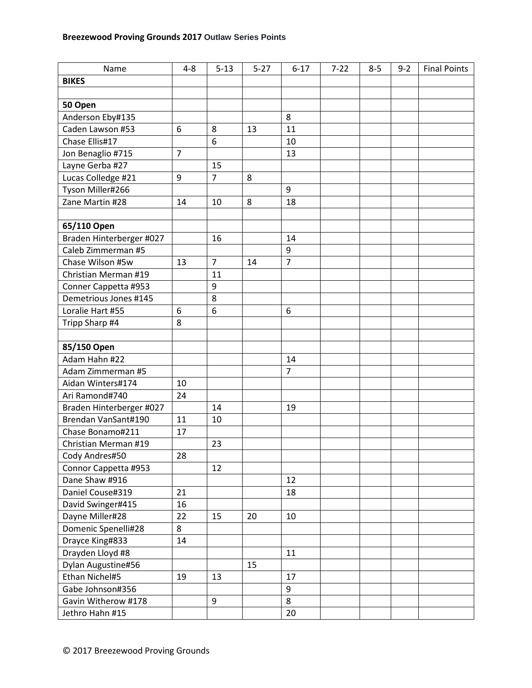| Name                     | $4 - 8$        | $5 - 13$       | $5 - 27$ | $6 - 17$       | $7 - 22$ | $8 - 5$ | $9 - 2$ | <b>Final Points</b> |
|--------------------------|----------------|----------------|----------|----------------|----------|---------|---------|---------------------|
| <b>BIKES</b>             |                |                |          |                |          |         |         |                     |
|                          |                |                |          |                |          |         |         |                     |
| 50 Open                  |                |                |          |                |          |         |         |                     |
| Anderson Eby#135         |                |                |          | 8              |          |         |         |                     |
| Caden Lawson #53         | 6              | 8              | 13       | 11             |          |         |         |                     |
| Chase Ellis#17           |                | 6              |          | 10             |          |         |         |                     |
| Jon Benaglio #715        | $\overline{7}$ |                |          | 13             |          |         |         |                     |
| Layne Gerba #27          |                | 15             |          |                |          |         |         |                     |
| Lucas Colledge #21       | 9              | $\overline{7}$ | 8        |                |          |         |         |                     |
| Tyson Miller#266         |                |                |          | 9              |          |         |         |                     |
| Zane Martin #28          | 14             | 10             | 8        | 18             |          |         |         |                     |
|                          |                |                |          |                |          |         |         |                     |
| 65/110 Open              |                |                |          |                |          |         |         |                     |
| Braden Hinterberger #027 |                | 16             |          | 14             |          |         |         |                     |
| Caleb Zimmerman #5       |                |                |          | 9              |          |         |         |                     |
| Chase Wilson #5w         | 13             | $\overline{7}$ | 14       | $\overline{7}$ |          |         |         |                     |
| Christian Merman #19     |                | 11             |          |                |          |         |         |                     |
| Conner Cappetta #953     |                | 9              |          |                |          |         |         |                     |
| Demetrious Jones #145    |                | 8              |          |                |          |         |         |                     |
| Loralie Hart #55         | 6              | 6              |          | 6              |          |         |         |                     |
| Tripp Sharp #4           | 8              |                |          |                |          |         |         |                     |
|                          |                |                |          |                |          |         |         |                     |
| 85/150 Open              |                |                |          |                |          |         |         |                     |
| Adam Hahn #22            |                |                |          | 14             |          |         |         |                     |
| Adam Zimmerman #5        |                |                |          | $\overline{7}$ |          |         |         |                     |
| Aidan Winters#174        | 10             |                |          |                |          |         |         |                     |
| Ari Ramond#740           | 24             |                |          |                |          |         |         |                     |
| Braden Hinterberger #027 |                | 14             |          | 19             |          |         |         |                     |
| Brendan VanSant#190      | 11             | 10             |          |                |          |         |         |                     |
| Chase Bonamo#211         | 17             |                |          |                |          |         |         |                     |
| Christian Merman #19     |                | 23             |          |                |          |         |         |                     |
| Cody Andres#50           | 28             |                |          |                |          |         |         |                     |
| Connor Cappetta #953     |                | 12             |          |                |          |         |         |                     |
| Dane Shaw #916           |                |                |          | 12             |          |         |         |                     |
| Daniel Couse#319         | 21             |                |          | 18             |          |         |         |                     |
| David Swinger#415        | 16             |                |          |                |          |         |         |                     |
| Dayne Miller#28          | 22             | 15             | 20       | 10             |          |         |         |                     |
| Domenic Spenelli#28      | 8              |                |          |                |          |         |         |                     |
| Drayce King#833          | 14             |                |          |                |          |         |         |                     |
| Drayden Lloyd #8         |                |                |          | 11             |          |         |         |                     |
| Dylan Augustine#56       |                |                | 15       |                |          |         |         |                     |
| Ethan Nichel#5           | 19             | 13             |          | 17             |          |         |         |                     |
| Gabe Johnson#356         |                |                |          | 9              |          |         |         |                     |
| Gavin Witherow #178      |                | 9              |          | 8              |          |         |         |                     |
| Jethro Hahn #15          |                |                |          | 20             |          |         |         |                     |
|                          |                |                |          |                |          |         |         |                     |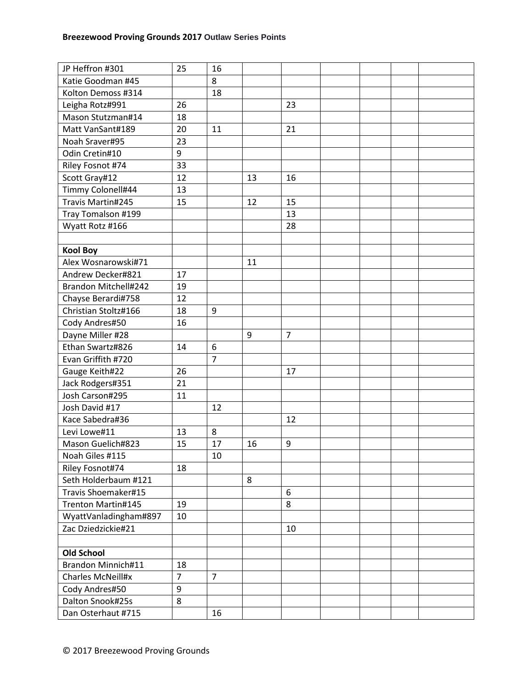| JP Heffron #301           | 25             | 16             |    |                |  |  |
|---------------------------|----------------|----------------|----|----------------|--|--|
| Katie Goodman #45         |                | 8              |    |                |  |  |
| Kolton Demoss #314        |                | 18             |    |                |  |  |
| Leigha Rotz#991           | 26             |                |    | 23             |  |  |
| Mason Stutzman#14         | 18             |                |    |                |  |  |
| Matt VanSant#189          | 20             | 11             |    | 21             |  |  |
| Noah Sraver#95            | 23             |                |    |                |  |  |
| Odin Cretin#10            | 9              |                |    |                |  |  |
| Riley Fosnot #74          | 33             |                |    |                |  |  |
| Scott Gray#12             | 12             |                | 13 | 16             |  |  |
| Timmy Colonell#44         | 13             |                |    |                |  |  |
| Travis Martin#245         | 15             |                | 12 | 15             |  |  |
| Tray Tomalson #199        |                |                |    | 13             |  |  |
| Wyatt Rotz #166           |                |                |    | 28             |  |  |
|                           |                |                |    |                |  |  |
| <b>Kool Boy</b>           |                |                |    |                |  |  |
| Alex Wosnarowski#71       |                |                | 11 |                |  |  |
| Andrew Decker#821         | 17             |                |    |                |  |  |
| Brandon Mitchell#242      | 19             |                |    |                |  |  |
| Chayse Berardi#758        | 12             |                |    |                |  |  |
| Christian Stoltz#166      | 18             | 9              |    |                |  |  |
| Cody Andres#50            | 16             |                |    |                |  |  |
| Dayne Miller #28          |                |                | 9  | $\overline{7}$ |  |  |
| Ethan Swartz#826          | 14             | 6              |    |                |  |  |
| Evan Griffith #720        |                | $\overline{7}$ |    |                |  |  |
| Gauge Keith#22            | 26             |                |    | 17             |  |  |
| Jack Rodgers#351          | 21             |                |    |                |  |  |
| Josh Carson#295           | 11             |                |    |                |  |  |
| Josh David #17            |                | 12             |    |                |  |  |
| Kace Sabedra#36           |                |                |    | 12             |  |  |
| Levi Lowe#11              | 13             | 8              |    |                |  |  |
| Mason Guelich#823         | 15             | 17             | 16 | 9              |  |  |
| Noah Giles #115           |                | 10             |    |                |  |  |
| Riley Fosnot#74           | 18             |                |    |                |  |  |
| Seth Holderbaum #121      |                |                | 8  |                |  |  |
| Travis Shoemaker#15       |                |                |    | 6              |  |  |
| Trenton Martin#145        | 19             |                |    | 8              |  |  |
| WyattVanladingham#897     | 10             |                |    |                |  |  |
| Zac Dziedzickie#21        |                |                |    | 10             |  |  |
|                           |                |                |    |                |  |  |
| <b>Old School</b>         |                |                |    |                |  |  |
| <b>Brandon Minnich#11</b> | 18             |                |    |                |  |  |
| Charles McNeill#x         | $\overline{7}$ | $\overline{7}$ |    |                |  |  |
| Cody Andres#50            | 9              |                |    |                |  |  |
| Dalton Snook#25s          | 8              |                |    |                |  |  |
| Dan Osterhaut #715        |                | 16             |    |                |  |  |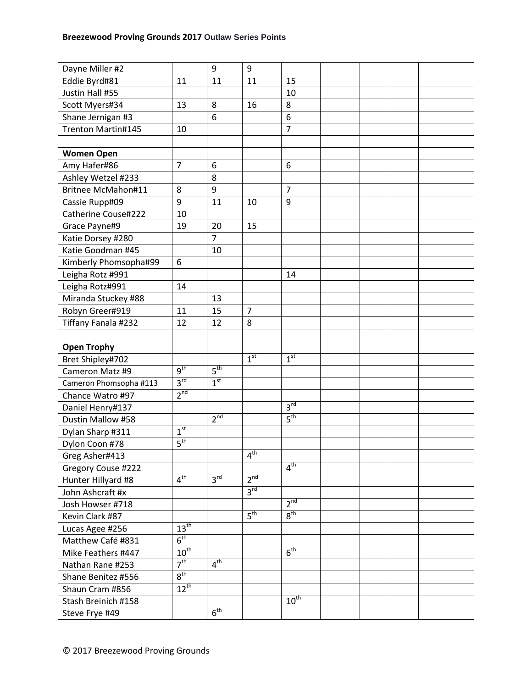| Dayne Miller #2                       |                                     | 9               | 9               |                 |  |  |
|---------------------------------------|-------------------------------------|-----------------|-----------------|-----------------|--|--|
| Eddie Byrd#81                         | 11                                  | 11              | 11              | 15              |  |  |
| Justin Hall #55                       |                                     |                 |                 | 10              |  |  |
| Scott Myers#34                        | 13                                  | 8               | 16              | 8               |  |  |
| Shane Jernigan #3                     |                                     | 6               |                 | 6               |  |  |
| Trenton Martin#145                    | 10                                  |                 |                 | $\overline{7}$  |  |  |
|                                       |                                     |                 |                 |                 |  |  |
| <b>Women Open</b>                     |                                     |                 |                 |                 |  |  |
| Amy Hafer#86                          | $\overline{7}$                      | 6               |                 | 6               |  |  |
| Ashley Wetzel #233                    |                                     | 8               |                 |                 |  |  |
| <b>Britnee McMahon#11</b>             | 8                                   | 9               |                 | $\overline{7}$  |  |  |
| Cassie Rupp#09                        | 9                                   | 11              | 10              | 9               |  |  |
| Catherine Couse#222                   | 10                                  |                 |                 |                 |  |  |
| Grace Payne#9                         | 19                                  | 20              | 15              |                 |  |  |
| Katie Dorsey #280                     |                                     | $\overline{7}$  |                 |                 |  |  |
| Katie Goodman #45                     |                                     | 10              |                 |                 |  |  |
| Kimberly Phomsopha#99                 | 6                                   |                 |                 |                 |  |  |
| Leigha Rotz #991                      |                                     |                 |                 | 14              |  |  |
| Leigha Rotz#991                       | 14                                  |                 |                 |                 |  |  |
| Miranda Stuckey #88                   |                                     | 13              |                 |                 |  |  |
| Robyn Greer#919                       | 11                                  | 15              | $\overline{7}$  |                 |  |  |
|                                       |                                     |                 | 8               |                 |  |  |
| Tiffany Fanala #232                   | 12                                  | 12              |                 |                 |  |  |
| <b>Open Trophy</b>                    |                                     |                 |                 |                 |  |  |
|                                       |                                     |                 |                 |                 |  |  |
|                                       |                                     |                 | 1 <sup>st</sup> | 1 <sup>st</sup> |  |  |
| Bret Shipley#702                      | $q^{th}$                            | 5 <sup>th</sup> |                 |                 |  |  |
| Cameron Matz #9                       | 3 <sup>rd</sup>                     | 1 <sup>st</sup> |                 |                 |  |  |
| Cameron Phomsopha #113                | 2 <sup>nd</sup>                     |                 |                 |                 |  |  |
| Chance Watro #97                      |                                     |                 |                 | 3 <sup>rd</sup> |  |  |
| Daniel Henry#137                      |                                     | 2 <sup>nd</sup> |                 | 5 <sup>th</sup> |  |  |
| Dustin Mallow #58                     | 1 <sup>st</sup>                     |                 |                 |                 |  |  |
| Dylan Sharp #311                      | 5 <sup>th</sup>                     |                 |                 |                 |  |  |
| Dylon Coon #78                        |                                     |                 | 4 <sup>th</sup> |                 |  |  |
| Greg Asher#413                        |                                     |                 |                 | 4 <sup>th</sup> |  |  |
| Gregory Couse #222                    | 4 <sup>th</sup>                     | $3^{\text{rd}}$ | 2 <sup>nd</sup> |                 |  |  |
| Hunter Hillyard #8                    |                                     |                 | 3 <sup>rd</sup> |                 |  |  |
| John Ashcraft #x                      |                                     |                 |                 | 2 <sup>nd</sup> |  |  |
| Josh Howser #718                      |                                     |                 |                 |                 |  |  |
| Kevin Clark #87                       |                                     |                 | 5 <sup>th</sup> | 8 <sup>th</sup> |  |  |
| Lucas Agee #256                       | $13^{th}$<br>6 <sup>th</sup>        |                 |                 |                 |  |  |
| Matthew Café #831                     |                                     |                 |                 |                 |  |  |
| Mike Feathers #447                    | $10^{\text{th}}$<br>7 <sup>th</sup> | 4 <sup>th</sup> |                 | 6 <sup>th</sup> |  |  |
| Nathan Rane #253                      | $8^{\text{th}}$                     |                 |                 |                 |  |  |
| Shane Benitez #556                    |                                     |                 |                 |                 |  |  |
| Shaun Cram #856                       | $12^{th}$                           |                 |                 |                 |  |  |
| Stash Breinich #158<br>Steve Frye #49 |                                     | 6 <sup>th</sup> |                 | $10^{th}$       |  |  |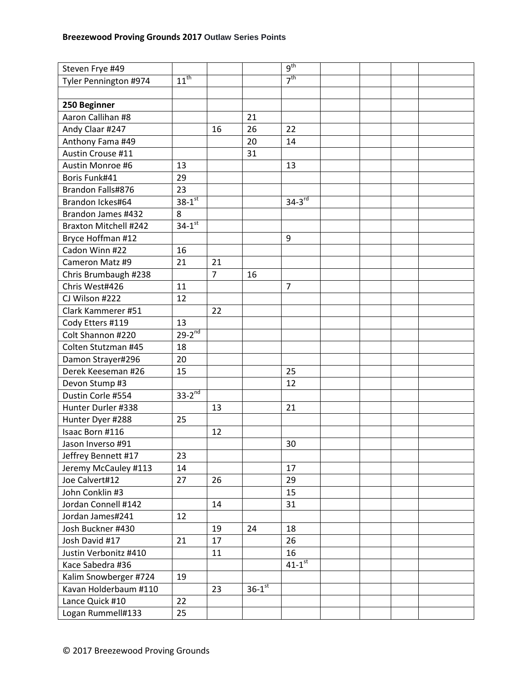| Steven Frye #49       |                        |                |                      | g <sup>th</sup>        |  |  |
|-----------------------|------------------------|----------------|----------------------|------------------------|--|--|
| Tyler Pennington #974 | $11^{\text{th}}$       |                |                      | 7 <sup>th</sup>        |  |  |
|                       |                        |                |                      |                        |  |  |
| 250 Beginner          |                        |                |                      |                        |  |  |
| Aaron Callihan #8     |                        |                | 21                   |                        |  |  |
| Andy Claar #247       |                        | 16             | 26                   | 22                     |  |  |
| Anthony Fama #49      |                        |                | 20                   | 14                     |  |  |
| Austin Crouse #11     |                        |                | 31                   |                        |  |  |
| Austin Monroe #6      | 13                     |                |                      | 13                     |  |  |
| Boris Funk#41         | 29                     |                |                      |                        |  |  |
| Brandon Falls#876     | 23                     |                |                      |                        |  |  |
| Brandon Ickes#64      | $38 - 1$ <sup>st</sup> |                |                      | $34-3^{rd}$            |  |  |
| Brandon James #432    | 8                      |                |                      |                        |  |  |
| Braxton Mitchell #242 | $34 - 1^{st}$          |                |                      |                        |  |  |
| Bryce Hoffman #12     |                        |                |                      | 9                      |  |  |
| Cadon Winn #22        | 16                     |                |                      |                        |  |  |
| Cameron Matz #9       | 21                     | 21             |                      |                        |  |  |
| Chris Brumbaugh #238  |                        | $\overline{7}$ | 16                   |                        |  |  |
| Chris West#426        | 11                     |                |                      | $\overline{7}$         |  |  |
| CJ Wilson #222        | 12                     |                |                      |                        |  |  |
| Clark Kammerer #51    |                        | 22             |                      |                        |  |  |
| Cody Etters #119      | 13                     |                |                      |                        |  |  |
| Colt Shannon #220     | $29-2^{nd}$            |                |                      |                        |  |  |
| Colten Stutzman #45   | 18                     |                |                      |                        |  |  |
| Damon Strayer#296     | 20                     |                |                      |                        |  |  |
| Derek Keeseman #26    | 15                     |                |                      | 25                     |  |  |
| Devon Stump #3        |                        |                |                      | 12                     |  |  |
| Dustin Corle #554     | $33-2^{nd}$            |                |                      |                        |  |  |
| Hunter Durler #338    |                        | 13             |                      | 21                     |  |  |
| Hunter Dyer #288      | 25                     |                |                      |                        |  |  |
| Isaac Born #116       |                        | 12             |                      |                        |  |  |
| Jason Inverso #91     |                        |                |                      | 30                     |  |  |
| Jeffrey Bennett #17   | 23                     |                |                      |                        |  |  |
| Jeremy McCauley #113  | 14                     |                |                      | 17                     |  |  |
| Joe Calvert#12        | 27                     | 26             |                      | 29                     |  |  |
| John Conklin #3       |                        |                |                      | 15                     |  |  |
| Jordan Connell #142   |                        | 14             |                      | 31                     |  |  |
| Jordan James#241      | 12                     |                |                      |                        |  |  |
| Josh Buckner #430     |                        | 19             | 24                   | 18                     |  |  |
| Josh David #17        | 21                     | 17             |                      | 26                     |  |  |
| Justin Verbonitz #410 |                        | 11             |                      | 16                     |  |  |
| Kace Sabedra #36      |                        |                |                      | $41 - 1$ <sup>st</sup> |  |  |
| Kalim Snowberger #724 | 19                     |                |                      |                        |  |  |
| Kavan Holderbaum #110 |                        | 23             | $36-1$ <sup>st</sup> |                        |  |  |
| Lance Quick #10       | 22                     |                |                      |                        |  |  |
| Logan Rummell#133     | 25                     |                |                      |                        |  |  |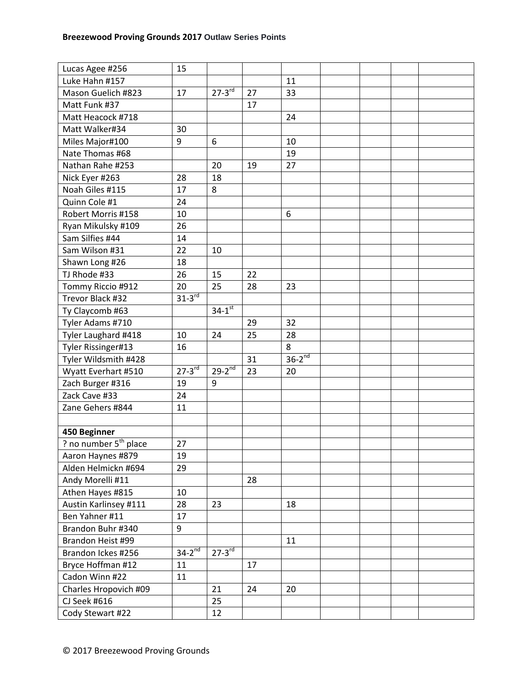| Lucas Agee #256                   | 15                   |                        |    |             |  |  |
|-----------------------------------|----------------------|------------------------|----|-------------|--|--|
| Luke Hahn #157                    |                      |                        |    | 11          |  |  |
| Mason Guelich #823                | 17                   | $27-3^{rd}$            | 27 | 33          |  |  |
| Matt Funk #37                     |                      |                        | 17 |             |  |  |
| Matt Heacock #718                 |                      |                        |    | 24          |  |  |
| Matt Walker#34                    | 30                   |                        |    |             |  |  |
| Miles Major#100                   | 9                    | 6                      |    | 10          |  |  |
| Nate Thomas #68                   |                      |                        |    | 19          |  |  |
| Nathan Rahe #253                  |                      | 20                     | 19 | 27          |  |  |
| Nick Eyer #263                    | 28                   | 18                     |    |             |  |  |
| Noah Giles #115                   | 17                   | 8                      |    |             |  |  |
| Quinn Cole #1                     | 24                   |                        |    |             |  |  |
| Robert Morris #158                | 10                   |                        |    | 6           |  |  |
| Ryan Mikulsky #109                | 26                   |                        |    |             |  |  |
| Sam Silfies #44                   | 14                   |                        |    |             |  |  |
| Sam Wilson #31                    | 22                   | 10                     |    |             |  |  |
| Shawn Long #26                    | 18                   |                        |    |             |  |  |
| TJ Rhode #33                      | 26                   | 15                     | 22 |             |  |  |
| Tommy Riccio #912                 | 20                   | 25                     | 28 | 23          |  |  |
| Trevor Black #32                  | $31-3$ <sup>rd</sup> |                        |    |             |  |  |
| Ty Claycomb #63                   |                      | $34-1$ <sup>st</sup>   |    |             |  |  |
| Tyler Adams #710                  |                      |                        | 29 | 32          |  |  |
| Tyler Laughard #418               | 10                   | 24                     | 25 | 28          |  |  |
| Tyler Rissinger#13                | 16                   |                        |    | 8           |  |  |
| Tyler Wildsmith #428              |                      |                        | 31 | $36-2^{nd}$ |  |  |
| Wyatt Everhart #510               | $27 - 3^{rd}$        | $29-2$ <sup>nd</sup>   | 23 | 20          |  |  |
| Zach Burger #316                  | 19                   | 9                      |    |             |  |  |
| Zack Cave #33                     | 24                   |                        |    |             |  |  |
| Zane Gehers #844                  | 11                   |                        |    |             |  |  |
|                                   |                      |                        |    |             |  |  |
| 450 Beginner                      |                      |                        |    |             |  |  |
| ? no number 5 <sup>th</sup> place | 27                   |                        |    |             |  |  |
| Aaron Haynes #879                 | 19                   |                        |    |             |  |  |
| Alden Helmickn #694               | 29                   |                        |    |             |  |  |
| Andy Morelli #11                  |                      |                        | 28 |             |  |  |
| Athen Hayes #815                  | 10                   |                        |    |             |  |  |
| Austin Karlinsey #111             | 28                   | 23                     |    | 18          |  |  |
| Ben Yahner #11                    | 17                   |                        |    |             |  |  |
| Brandon Buhr #340                 | 9                    |                        |    |             |  |  |
| Brandon Heist #99                 |                      |                        |    | 11          |  |  |
| Brandon Ickes #256                | $34-2^{nd}$          | $27 - 3$ <sup>rd</sup> |    |             |  |  |
| Bryce Hoffman #12                 | 11                   |                        | 17 |             |  |  |
| Cadon Winn #22                    | 11                   |                        |    |             |  |  |
| Charles Hropovich #09             |                      | 21                     | 24 | 20          |  |  |
| CJ Seek #616                      |                      | 25                     |    |             |  |  |
| Cody Stewart #22                  |                      | 12                     |    |             |  |  |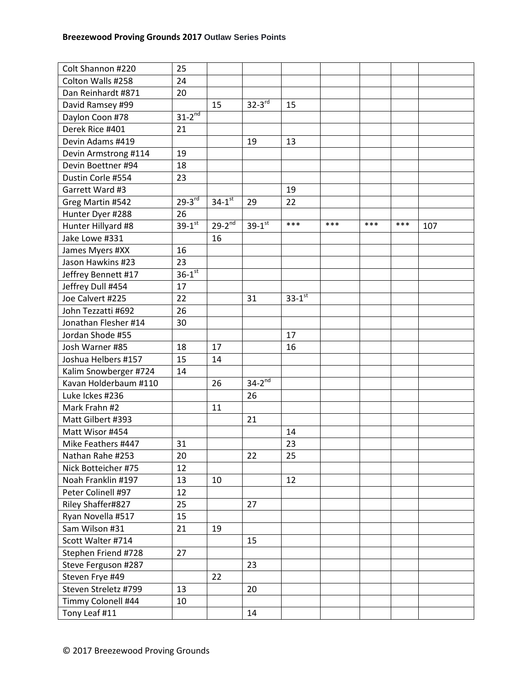| Colt Shannon #220     | 25                     |                        |               |                        |     |     |     |     |
|-----------------------|------------------------|------------------------|---------------|------------------------|-----|-----|-----|-----|
| Colton Walls #258     | 24                     |                        |               |                        |     |     |     |     |
| Dan Reinhardt #871    | 20                     |                        |               |                        |     |     |     |     |
| David Ramsey #99      |                        | 15                     | $32 - 3^{rd}$ | 15                     |     |     |     |     |
| Daylon Coon #78       | $31-2^{nd}$            |                        |               |                        |     |     |     |     |
| Derek Rice #401       | 21                     |                        |               |                        |     |     |     |     |
| Devin Adams #419      |                        |                        | 19            | 13                     |     |     |     |     |
| Devin Armstrong #114  | 19                     |                        |               |                        |     |     |     |     |
| Devin Boettner #94    | 18                     |                        |               |                        |     |     |     |     |
| Dustin Corle #554     | 23                     |                        |               |                        |     |     |     |     |
| Garrett Ward #3       |                        |                        |               | 19                     |     |     |     |     |
| Greg Martin #542      | $29-3^{rd}$            | $34 - 1$ <sup>st</sup> | 29            | 22                     |     |     |     |     |
| Hunter Dyer #288      | 26                     |                        |               |                        |     |     |     |     |
| Hunter Hillyard #8    | $39 - 1^{st}$          | $29-2^{nd}$            | $39 - 1^{st}$ | ***                    | *** | *** | *** | 107 |
| Jake Lowe #331        |                        | 16                     |               |                        |     |     |     |     |
| James Myers #XX       | 16                     |                        |               |                        |     |     |     |     |
| Jason Hawkins #23     | 23                     |                        |               |                        |     |     |     |     |
| Jeffrey Bennett #17   | $36 - 1$ <sup>st</sup> |                        |               |                        |     |     |     |     |
| Jeffrey Dull #454     | 17                     |                        |               |                        |     |     |     |     |
| Joe Calvert #225      | 22                     |                        | 31            | $33 - 1$ <sup>st</sup> |     |     |     |     |
| John Tezzatti #692    | 26                     |                        |               |                        |     |     |     |     |
| Jonathan Flesher #14  | 30                     |                        |               |                        |     |     |     |     |
| Jordan Shode #55      |                        |                        |               | 17                     |     |     |     |     |
| Josh Warner #85       | 18                     | 17                     |               | 16                     |     |     |     |     |
| Joshua Helbers #157   | 15                     | 14                     |               |                        |     |     |     |     |
| Kalim Snowberger #724 | 14                     |                        |               |                        |     |     |     |     |
| Kavan Holderbaum #110 |                        | 26                     | $34-2^{nd}$   |                        |     |     |     |     |
| Luke Ickes #236       |                        |                        | 26            |                        |     |     |     |     |
| Mark Frahn #2         |                        | 11                     |               |                        |     |     |     |     |
| Matt Gilbert #393     |                        |                        | 21            |                        |     |     |     |     |
| Matt Wisor #454       |                        |                        |               | 14                     |     |     |     |     |
| Mike Feathers #447    | 31                     |                        |               | 23                     |     |     |     |     |
| Nathan Rahe #253      | 20                     |                        | 22            | 25                     |     |     |     |     |
| Nick Botteicher #75   | 12                     |                        |               |                        |     |     |     |     |
| Noah Franklin #197    | 13                     | 10                     |               | 12                     |     |     |     |     |
| Peter Colinell #97    | 12                     |                        |               |                        |     |     |     |     |
| Riley Shaffer#827     | 25                     |                        | 27            |                        |     |     |     |     |
| Ryan Novella #517     | 15                     |                        |               |                        |     |     |     |     |
| Sam Wilson #31        | 21                     | 19                     |               |                        |     |     |     |     |
| Scott Walter #714     |                        |                        | 15            |                        |     |     |     |     |
| Stephen Friend #728   | 27                     |                        |               |                        |     |     |     |     |
| Steve Ferguson #287   |                        |                        | 23            |                        |     |     |     |     |
| Steven Frye #49       |                        | 22                     |               |                        |     |     |     |     |
| Steven Streletz #799  | 13                     |                        | 20            |                        |     |     |     |     |
| Timmy Colonell #44    | 10                     |                        |               |                        |     |     |     |     |
| Tony Leaf #11         |                        |                        | 14            |                        |     |     |     |     |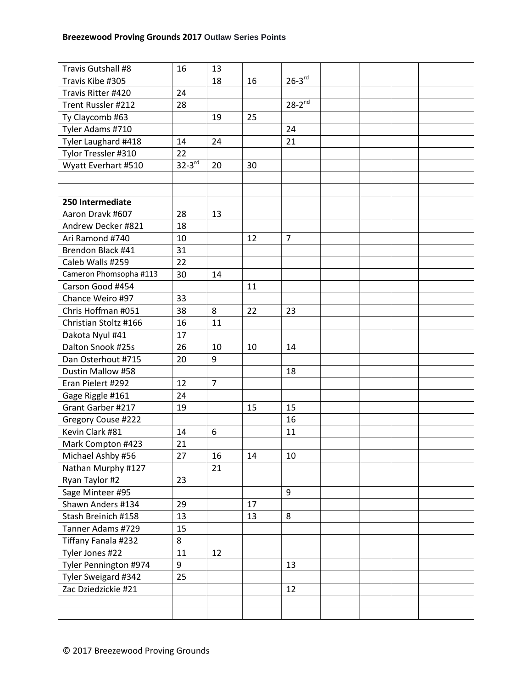| Travis Gutshall #8     | 16                   | 13             |    |                |  |  |
|------------------------|----------------------|----------------|----|----------------|--|--|
| Travis Kibe #305       |                      | 18             | 16 | $26-3^{rd}$    |  |  |
| Travis Ritter #420     | 24                   |                |    |                |  |  |
| Trent Russler #212     | 28                   |                |    | $28 - 2^{nd}$  |  |  |
| Ty Claycomb #63        |                      | 19             | 25 |                |  |  |
| Tyler Adams #710       |                      |                |    | 24             |  |  |
| Tyler Laughard #418    | 14                   | 24             |    | 21             |  |  |
| Tylor Tressler #310    | 22                   |                |    |                |  |  |
| Wyatt Everhart #510    | $32-3$ <sup>rd</sup> | 20             | 30 |                |  |  |
|                        |                      |                |    |                |  |  |
|                        |                      |                |    |                |  |  |
| 250 Intermediate       |                      |                |    |                |  |  |
| Aaron Dravk #607       | 28                   | 13             |    |                |  |  |
| Andrew Decker #821     | 18                   |                |    |                |  |  |
| Ari Ramond #740        | 10                   |                | 12 | $\overline{7}$ |  |  |
| Brendon Black #41      | 31                   |                |    |                |  |  |
| Caleb Walls #259       | 22                   |                |    |                |  |  |
| Cameron Phomsopha #113 | 30                   | 14             |    |                |  |  |
| Carson Good #454       |                      |                | 11 |                |  |  |
| Chance Weiro #97       | 33                   |                |    |                |  |  |
| Chris Hoffman #051     | 38                   | 8              | 22 | 23             |  |  |
| Christian Stoltz #166  | 16                   | 11             |    |                |  |  |
| Dakota Nyul #41        | 17                   |                |    |                |  |  |
| Dalton Snook #25s      | 26                   | 10             | 10 | 14             |  |  |
| Dan Osterhout #715     | 20                   | 9              |    |                |  |  |
| Dustin Mallow #58      |                      |                |    | 18             |  |  |
| Eran Pielert #292      | 12                   | $\overline{7}$ |    |                |  |  |
| Gage Riggle #161       | 24                   |                |    |                |  |  |
| Grant Garber #217      | 19                   |                | 15 | 15             |  |  |
| Gregory Couse #222     |                      |                |    | 16             |  |  |
| Kevin Clark #81        | 14                   | 6              |    | 11             |  |  |
| Mark Compton #423      | 21                   |                |    |                |  |  |
| Michael Ashby #56      | 27                   | 16             | 14 | 10             |  |  |
| Nathan Murphy #127     |                      | 21             |    |                |  |  |
| Ryan Taylor #2         | 23                   |                |    |                |  |  |
| Sage Minteer #95       |                      |                |    | 9              |  |  |
| Shawn Anders #134      | 29                   |                | 17 |                |  |  |
| Stash Breinich #158    | 13                   |                | 13 | 8              |  |  |
| Tanner Adams #729      | 15                   |                |    |                |  |  |
| Tiffany Fanala #232    | 8                    |                |    |                |  |  |
| Tyler Jones #22        | 11                   | 12             |    |                |  |  |
| Tyler Pennington #974  | 9                    |                |    | 13             |  |  |
| Tyler Sweigard #342    | 25                   |                |    |                |  |  |
| Zac Dziedzickie #21    |                      |                |    | 12             |  |  |
|                        |                      |                |    |                |  |  |
|                        |                      |                |    |                |  |  |
|                        |                      |                |    |                |  |  |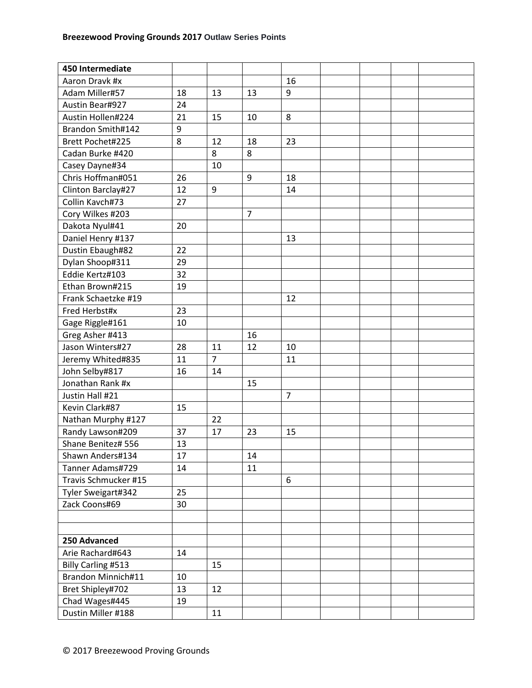| 450 Intermediate     |    |                |                |                |  |  |
|----------------------|----|----------------|----------------|----------------|--|--|
| Aaron Dravk #x       |    |                |                | 16             |  |  |
| Adam Miller#57       | 18 | 13             | 13             | 9              |  |  |
| Austin Bear#927      | 24 |                |                |                |  |  |
| Austin Hollen#224    | 21 | 15             | 10             | 8              |  |  |
| Brandon Smith#142    | 9  |                |                |                |  |  |
| Brett Pochet#225     | 8  | 12             | 18             | 23             |  |  |
| Cadan Burke #420     |    | 8              | 8              |                |  |  |
| Casey Dayne#34       |    | 10             |                |                |  |  |
| Chris Hoffman#051    | 26 |                | 9              | 18             |  |  |
| Clinton Barclay#27   | 12 | 9              |                | 14             |  |  |
| Collin Kavch#73      | 27 |                |                |                |  |  |
| Cory Wilkes #203     |    |                | $\overline{7}$ |                |  |  |
| Dakota Nyul#41       | 20 |                |                |                |  |  |
| Daniel Henry #137    |    |                |                | 13             |  |  |
| Dustin Ebaugh#82     | 22 |                |                |                |  |  |
| Dylan Shoop#311      | 29 |                |                |                |  |  |
| Eddie Kertz#103      | 32 |                |                |                |  |  |
| Ethan Brown#215      | 19 |                |                |                |  |  |
| Frank Schaetzke #19  |    |                |                | 12             |  |  |
| Fred Herbst#x        | 23 |                |                |                |  |  |
| Gage Riggle#161      | 10 |                |                |                |  |  |
| Greg Asher #413      |    |                | 16             |                |  |  |
| Jason Winters#27     | 28 | 11             | 12             | 10             |  |  |
| Jeremy Whited#835    | 11 | $\overline{7}$ |                | 11             |  |  |
| John Selby#817       | 16 | 14             |                |                |  |  |
| Jonathan Rank #x     |    |                | 15             |                |  |  |
| Justin Hall #21      |    |                |                | $\overline{7}$ |  |  |
| Kevin Clark#87       | 15 |                |                |                |  |  |
| Nathan Murphy #127   |    | 22             |                |                |  |  |
| Randy Lawson#209     | 37 | 17             | 23             | 15             |  |  |
| Shane Benitez# 556   | 13 |                |                |                |  |  |
| Shawn Anders#134     | 17 |                | 14             |                |  |  |
| Tanner Adams#729     | 14 |                | 11             |                |  |  |
| Travis Schmucker #15 |    |                |                | 6              |  |  |
| Tyler Sweigart#342   | 25 |                |                |                |  |  |
| Zack Coons#69        | 30 |                |                |                |  |  |
|                      |    |                |                |                |  |  |
|                      |    |                |                |                |  |  |
| 250 Advanced         |    |                |                |                |  |  |
| Arie Rachard#643     | 14 |                |                |                |  |  |
| Billy Carling #513   |    | 15             |                |                |  |  |
| Brandon Minnich#11   | 10 |                |                |                |  |  |
| Bret Shipley#702     | 13 | 12             |                |                |  |  |
| Chad Wages#445       | 19 |                |                |                |  |  |
| Dustin Miller #188   |    | 11             |                |                |  |  |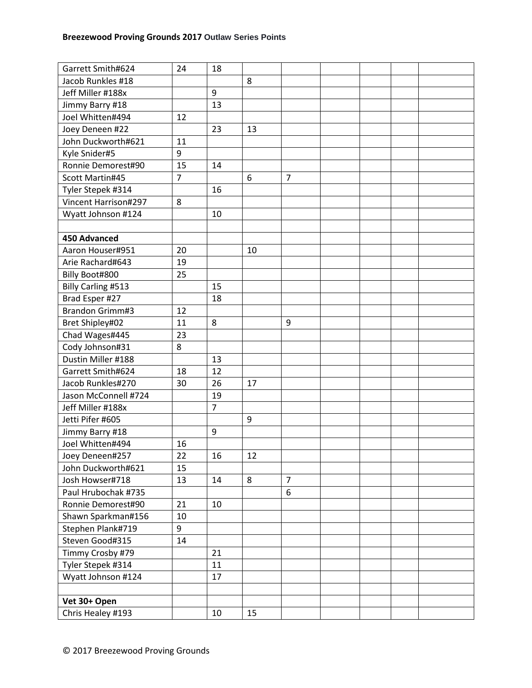| Garrett Smith#624      | 24             | 18 |    |                |  |  |
|------------------------|----------------|----|----|----------------|--|--|
| Jacob Runkles #18      |                |    | 8  |                |  |  |
| Jeff Miller #188x      |                | 9  |    |                |  |  |
| Jimmy Barry #18        |                | 13 |    |                |  |  |
| Joel Whitten#494       | 12             |    |    |                |  |  |
| Joey Deneen #22        |                | 23 | 13 |                |  |  |
| John Duckworth#621     | 11             |    |    |                |  |  |
| Kyle Snider#5          | 9              |    |    |                |  |  |
| Ronnie Demorest#90     | 15             | 14 |    |                |  |  |
| Scott Martin#45        | $\overline{7}$ |    | 6  | $\overline{7}$ |  |  |
| Tyler Stepek #314      |                | 16 |    |                |  |  |
| Vincent Harrison#297   | 8              |    |    |                |  |  |
| Wyatt Johnson #124     |                | 10 |    |                |  |  |
|                        |                |    |    |                |  |  |
| <b>450 Advanced</b>    |                |    |    |                |  |  |
| Aaron Houser#951       | 20             |    | 10 |                |  |  |
| Arie Rachard#643       | 19             |    |    |                |  |  |
| Billy Boot#800         | 25             |    |    |                |  |  |
| Billy Carling #513     |                | 15 |    |                |  |  |
| Brad Esper #27         |                | 18 |    |                |  |  |
| <b>Brandon Grimm#3</b> | 12             |    |    |                |  |  |
| Bret Shipley#02        | 11             | 8  |    | 9              |  |  |
| Chad Wages#445         | 23             |    |    |                |  |  |
| Cody Johnson#31        | 8              |    |    |                |  |  |
| Dustin Miller #188     |                | 13 |    |                |  |  |
| Garrett Smith#624      | 18             | 12 |    |                |  |  |
| Jacob Runkles#270      | 30             | 26 | 17 |                |  |  |
| Jason McConnell #724   |                | 19 |    |                |  |  |
| Jeff Miller #188x      |                | 7  |    |                |  |  |
| Jetti Pifer #605       |                |    | 9  |                |  |  |
| Jimmy Barry #18        |                | 9  |    |                |  |  |
| Joel Whitten#494       | 16             |    |    |                |  |  |
| Joey Deneen#257        | 22             | 16 | 12 |                |  |  |
| John Duckworth#621     | 15             |    |    |                |  |  |
| Josh Howser#718        | 13             | 14 | 8  | $\overline{7}$ |  |  |
| Paul Hrubochak #735    |                |    |    | 6              |  |  |
| Ronnie Demorest#90     | 21             | 10 |    |                |  |  |
| Shawn Sparkman#156     | 10             |    |    |                |  |  |
| Stephen Plank#719      | 9              |    |    |                |  |  |
| Steven Good#315        | 14             |    |    |                |  |  |
| Timmy Crosby #79       |                | 21 |    |                |  |  |
| Tyler Stepek #314      |                | 11 |    |                |  |  |
| Wyatt Johnson #124     |                | 17 |    |                |  |  |
|                        |                |    |    |                |  |  |
| Vet 30+ Open           |                |    |    |                |  |  |
| Chris Healey #193      |                | 10 | 15 |                |  |  |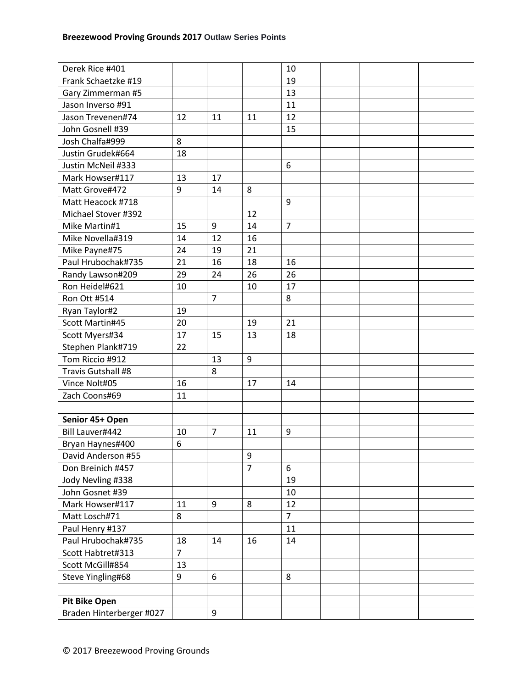| Derek Rice #401          |                |                |                | 10             |  |  |
|--------------------------|----------------|----------------|----------------|----------------|--|--|
| Frank Schaetzke #19      |                |                |                | 19             |  |  |
| Gary Zimmerman #5        |                |                |                | 13             |  |  |
| Jason Inverso #91        |                |                |                | 11             |  |  |
| Jason Trevenen#74        | 12             | 11             | 11             | 12             |  |  |
| John Gosnell #39         |                |                |                | 15             |  |  |
| Josh Chalfa#999          | 8              |                |                |                |  |  |
| Justin Grudek#664        | 18             |                |                |                |  |  |
| Justin McNeil #333       |                |                |                | 6              |  |  |
| Mark Howser#117          | 13             | 17             |                |                |  |  |
| Matt Grove#472           | 9              | 14             | 8              |                |  |  |
| Matt Heacock #718        |                |                |                | 9              |  |  |
| Michael Stover #392      |                |                | 12             |                |  |  |
| Mike Martin#1            | 15             | 9              | 14             | $\overline{7}$ |  |  |
| Mike Novella#319         | 14             | 12             | 16             |                |  |  |
| Mike Payne#75            | 24             | 19             | 21             |                |  |  |
| Paul Hrubochak#735       | 21             | 16             | 18             | 16             |  |  |
| Randy Lawson#209         | 29             | 24             | 26             | 26             |  |  |
| Ron Heidel#621           | 10             |                | 10             | 17             |  |  |
| Ron Ott #514             |                | $\overline{7}$ |                | 8              |  |  |
| Ryan Taylor#2            | 19             |                |                |                |  |  |
| Scott Martin#45          | 20             |                | 19             | 21             |  |  |
| Scott Myers#34           | 17             | 15             | 13             | 18             |  |  |
| Stephen Plank#719        | 22             |                |                |                |  |  |
| Tom Riccio #912          |                | 13             | 9              |                |  |  |
| Travis Gutshall #8       |                | 8              |                |                |  |  |
| Vince Nolt#05            | 16             |                | 17             | 14             |  |  |
| Zach Coons#69            | 11             |                |                |                |  |  |
|                          |                |                |                |                |  |  |
| Senior 45+ Open          |                |                |                |                |  |  |
| Bill Lauver#442          | 10             | $\overline{7}$ | 11             | 9              |  |  |
| Bryan Haynes#400         | 6              |                |                |                |  |  |
| David Anderson #55       |                |                | 9              |                |  |  |
| Don Breinich #457        |                |                | $\overline{7}$ | 6              |  |  |
| Jody Nevling #338        |                |                |                | 19             |  |  |
| John Gosnet #39          |                |                |                | 10             |  |  |
| Mark Howser#117          | 11             | 9              | 8              | 12             |  |  |
| Matt Losch#71            | 8              |                |                | $\overline{7}$ |  |  |
| Paul Henry #137          |                |                |                | 11             |  |  |
| Paul Hrubochak#735       | 18             | 14             | 16             | 14             |  |  |
| Scott Habtret#313        | $\overline{7}$ |                |                |                |  |  |
| Scott McGill#854         | 13             |                |                |                |  |  |
| Steve Yingling#68        | 9              | 6              |                | 8              |  |  |
|                          |                |                |                |                |  |  |
| <b>Pit Bike Open</b>     |                |                |                |                |  |  |
| Braden Hinterberger #027 |                | 9              |                |                |  |  |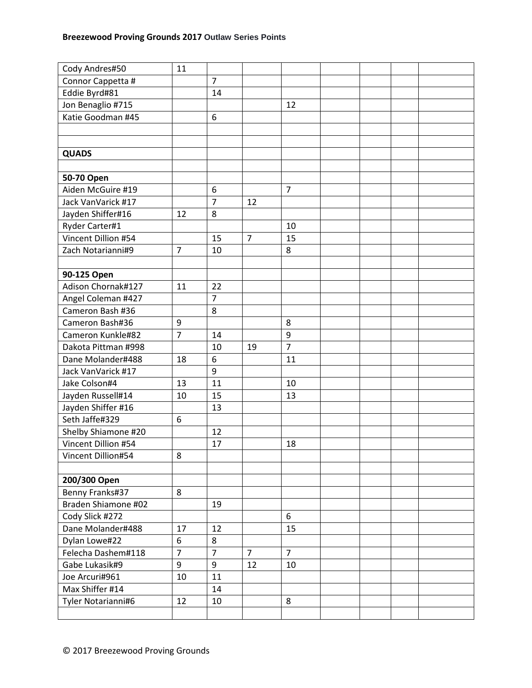| Cody Andres#50      | 11               |                |                |                |  |  |
|---------------------|------------------|----------------|----------------|----------------|--|--|
| Connor Cappetta #   |                  | $\overline{7}$ |                |                |  |  |
| Eddie Byrd#81       |                  | 14             |                |                |  |  |
| Jon Benaglio #715   |                  |                |                | 12             |  |  |
| Katie Goodman #45   |                  | 6              |                |                |  |  |
|                     |                  |                |                |                |  |  |
|                     |                  |                |                |                |  |  |
| <b>QUADS</b>        |                  |                |                |                |  |  |
|                     |                  |                |                |                |  |  |
| 50-70 Open          |                  |                |                |                |  |  |
| Aiden McGuire #19   |                  | 6              |                | $\overline{7}$ |  |  |
| Jack VanVarick #17  |                  | $\overline{7}$ | 12             |                |  |  |
| Jayden Shiffer#16   | 12               | 8              |                |                |  |  |
| Ryder Carter#1      |                  |                |                | 10             |  |  |
| Vincent Dillion #54 |                  | 15             | $\overline{7}$ | 15             |  |  |
| Zach Notarianni#9   | $\overline{7}$   | 10             |                | 8              |  |  |
|                     |                  |                |                |                |  |  |
| 90-125 Open         |                  |                |                |                |  |  |
| Adison Chornak#127  | 11               | 22             |                |                |  |  |
| Angel Coleman #427  |                  | $\overline{7}$ |                |                |  |  |
| Cameron Bash #36    |                  | 8              |                |                |  |  |
| Cameron Bash#36     | $\boldsymbol{9}$ |                |                | 8              |  |  |
| Cameron Kunkle#82   | $\overline{7}$   | 14             |                | 9              |  |  |
| Dakota Pittman #998 |                  | 10             | 19             | $\overline{7}$ |  |  |
| Dane Molander#488   | 18               | 6              |                | 11             |  |  |
| Jack VanVarick #17  |                  | 9              |                |                |  |  |
| Jake Colson#4       | 13               | 11             |                | 10             |  |  |
| Jayden Russell#14   | 10               | 15             |                | 13             |  |  |
| Jayden Shiffer #16  |                  | 13             |                |                |  |  |
| Seth Jaffe#329      | 6                |                |                |                |  |  |
| Shelby Shiamone #20 |                  | 12             |                |                |  |  |
| Vincent Dillion #54 |                  | 17             |                | 18             |  |  |
| Vincent Dillion#54  | 8                |                |                |                |  |  |
|                     |                  |                |                |                |  |  |
| 200/300 Open        |                  |                |                |                |  |  |
| Benny Franks#37     | 8                |                |                |                |  |  |
| Braden Shiamone #02 |                  | 19             |                |                |  |  |
|                     |                  |                |                | 6              |  |  |
| Cody Slick #272     |                  |                |                |                |  |  |
| Dane Molander#488   | 17               | 12             |                | 15             |  |  |
| Dylan Lowe#22       | 6                | 8              |                |                |  |  |
| Felecha Dashem#118  | $\overline{7}$   | $\overline{7}$ | $\overline{7}$ | $\overline{7}$ |  |  |
| Gabe Lukasik#9      | 9                | 9              | 12             | 10             |  |  |
| Joe Arcuri#961      | 10               | 11             |                |                |  |  |
| Max Shiffer #14     |                  | 14             |                |                |  |  |
| Tyler Notarianni#6  | 12               | 10             |                | 8              |  |  |
|                     |                  |                |                |                |  |  |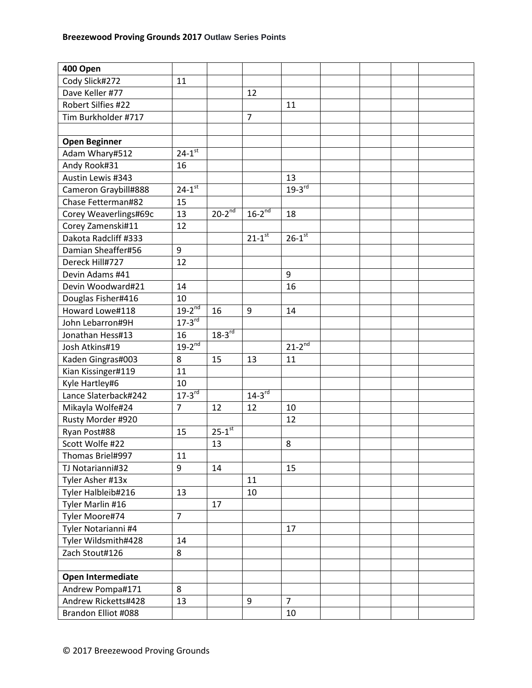| 400 Open              |                        |                      |                |                        |  |  |
|-----------------------|------------------------|----------------------|----------------|------------------------|--|--|
| Cody Slick#272        | 11                     |                      |                |                        |  |  |
| Dave Keller #77       |                        |                      | 12             |                        |  |  |
| Robert Silfies #22    |                        |                      |                | 11                     |  |  |
| Tim Burkholder #717   |                        |                      | $\overline{7}$ |                        |  |  |
|                       |                        |                      |                |                        |  |  |
| <b>Open Beginner</b>  |                        |                      |                |                        |  |  |
| Adam Whary#512        | $24 - 1^{st}$          |                      |                |                        |  |  |
| Andy Rook#31          | 16                     |                      |                |                        |  |  |
| Austin Lewis #343     |                        |                      |                | 13                     |  |  |
| Cameron Graybill#888  | $24 - 1^{st}$          |                      |                | $19-3^{rd}$            |  |  |
| Chase Fetterman#82    | 15                     |                      |                |                        |  |  |
| Corey Weaverlings#69c | 13                     | $20-2^{nd}$          | $16-2^{nd}$    | 18                     |  |  |
| Corey Zamenski#11     | 12                     |                      |                |                        |  |  |
| Dakota Radcliff #333  |                        |                      | $21 - 1^{st}$  | $26 - 1$ <sup>st</sup> |  |  |
| Damian Sheaffer#56    | 9                      |                      |                |                        |  |  |
| Dereck Hill#727       | 12                     |                      |                |                        |  |  |
| Devin Adams #41       |                        |                      |                | 9                      |  |  |
| Devin Woodward#21     | 14                     |                      |                | 16                     |  |  |
| Douglas Fisher#416    | 10                     |                      |                |                        |  |  |
| Howard Lowe#118       | $19-2^{nd}$            | 16                   | 9              | 14                     |  |  |
| John Lebarron#9H      | $17 - 3$ <sup>rd</sup> |                      |                |                        |  |  |
| Jonathan Hess#13      | 16                     | $18-3^{rd}$          |                |                        |  |  |
| Josh Atkins#19        | $19-2^{nd}$            |                      |                | $21-2^{nd}$            |  |  |
| Kaden Gingras#003     | 8                      | 15                   | 13             | 11                     |  |  |
| Kian Kissinger#119    | 11                     |                      |                |                        |  |  |
| Kyle Hartley#6        | 10                     |                      |                |                        |  |  |
| Lance Slaterback#242  | $17-3$ <sup>rd</sup>   |                      | $14-3^{rd}$    |                        |  |  |
| Mikayla Wolfe#24      | $\overline{7}$         | 12                   | 12             | 10                     |  |  |
| Rusty Morder #920     |                        |                      |                | 12                     |  |  |
| Ryan Post#88          | 15                     | $25-1$ <sup>st</sup> |                |                        |  |  |
| Scott Wolfe #22       |                        | 13                   |                | 8                      |  |  |
| Thomas Briel#997      | 11                     |                      |                |                        |  |  |
| TJ Notarianni#32      | 9                      | 14                   |                | 15                     |  |  |
| Tyler Asher #13x      |                        |                      | 11             |                        |  |  |
| Tyler Halbleib#216    | 13                     |                      | 10             |                        |  |  |
| Tyler Marlin #16      |                        | 17                   |                |                        |  |  |
| Tyler Moore#74        | $\overline{7}$         |                      |                |                        |  |  |
| Tyler Notarianni #4   |                        |                      |                | 17                     |  |  |
| Tyler Wildsmith#428   | 14                     |                      |                |                        |  |  |
| Zach Stout#126        | 8                      |                      |                |                        |  |  |
|                       |                        |                      |                |                        |  |  |
| Open Intermediate     |                        |                      |                |                        |  |  |
| Andrew Pompa#171      | 8                      |                      |                |                        |  |  |
| Andrew Ricketts#428   | 13                     |                      | 9              | $\overline{7}$         |  |  |
| Brandon Elliot #088   |                        |                      |                | 10                     |  |  |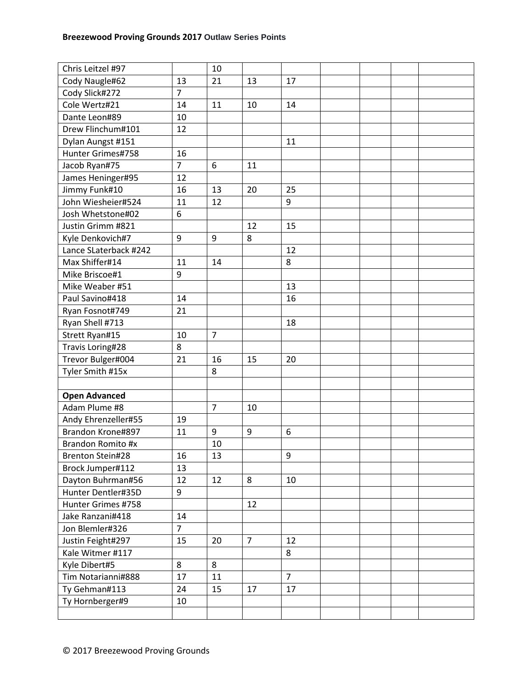| Chris Leitzel #97     |                  | 10             |                |                |  |  |
|-----------------------|------------------|----------------|----------------|----------------|--|--|
| Cody Naugle#62        | 13               | 21             | 13             | 17             |  |  |
| Cody Slick#272        | $\overline{7}$   |                |                |                |  |  |
| Cole Wertz#21         | 14               | 11             | 10             | 14             |  |  |
| Dante Leon#89         | 10               |                |                |                |  |  |
| Drew Flinchum#101     | 12               |                |                |                |  |  |
| Dylan Aungst #151     |                  |                |                | 11             |  |  |
| Hunter Grimes#758     | 16               |                |                |                |  |  |
| Jacob Ryan#75         | $\overline{7}$   | 6              | 11             |                |  |  |
| James Heninger#95     | 12               |                |                |                |  |  |
| Jimmy Funk#10         | 16               | 13             | 20             | 25             |  |  |
| John Wiesheier#524    | 11               | 12             |                | 9              |  |  |
| Josh Whetstone#02     | 6                |                |                |                |  |  |
| Justin Grimm #821     |                  |                | 12             | 15             |  |  |
| Kyle Denkovich#7      | $\boldsymbol{9}$ | 9              | 8              |                |  |  |
| Lance SLaterback #242 |                  |                |                | 12             |  |  |
| Max Shiffer#14        | 11               | 14             |                | 8              |  |  |
| Mike Briscoe#1        | 9                |                |                |                |  |  |
| Mike Weaber #51       |                  |                |                | 13             |  |  |
| Paul Savino#418       | 14               |                |                | 16             |  |  |
| Ryan Fosnot#749       | 21               |                |                |                |  |  |
| Ryan Shell #713       |                  |                |                | 18             |  |  |
| Strett Ryan#15        | 10               | $\overline{7}$ |                |                |  |  |
| Travis Loring#28      | 8                |                |                |                |  |  |
| Trevor Bulger#004     | 21               | 16             | 15             | 20             |  |  |
| Tyler Smith #15x      |                  | 8              |                |                |  |  |
|                       |                  |                |                |                |  |  |
| <b>Open Advanced</b>  |                  |                |                |                |  |  |
| Adam Plume #8         |                  | $\overline{7}$ | 10             |                |  |  |
| Andy Ehrenzeller#55   | 19               |                |                |                |  |  |
| Brandon Krone#897     | 11               | 9              | 9              | 6              |  |  |
| Brandon Romito #x     |                  | 10             |                |                |  |  |
| Brenton Stein#28      | 16               | 13             |                | 9              |  |  |
| Brock Jumper#112      | 13               |                |                |                |  |  |
| Dayton Buhrman#56     | 12               | 12             | 8              | 10             |  |  |
| Hunter Dentler#35D    | 9                |                |                |                |  |  |
| Hunter Grimes #758    |                  |                | 12             |                |  |  |
| Jake Ranzani#418      | 14               |                |                |                |  |  |
| Jon Blemler#326       | $\overline{7}$   |                |                |                |  |  |
| Justin Feight#297     | 15               | 20             | $\overline{7}$ | 12             |  |  |
| Kale Witmer #117      |                  |                |                | 8              |  |  |
| Kyle Dibert#5         | 8                | 8              |                |                |  |  |
| Tim Notarianni#888    | 17               | 11             |                | $\overline{7}$ |  |  |
| Ty Gehman#113         | 24               | 15             | 17             | 17             |  |  |
| Ty Hornberger#9       | 10               |                |                |                |  |  |
|                       |                  |                |                |                |  |  |
|                       |                  |                |                |                |  |  |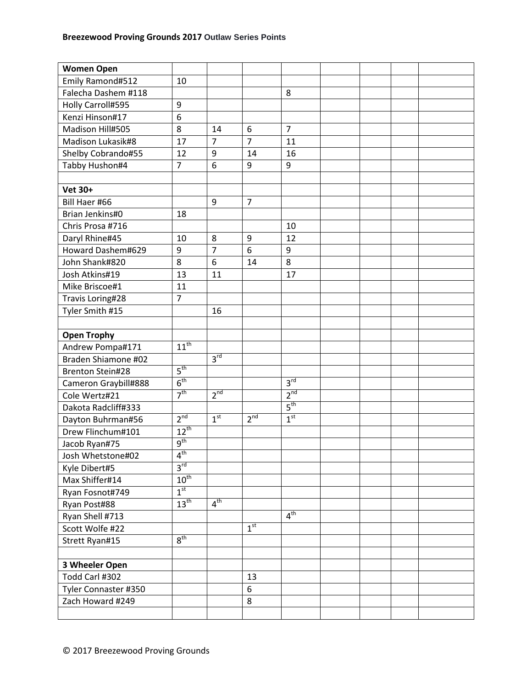| <b>Women Open</b>       |                  |                 |                 |                 |  |  |
|-------------------------|------------------|-----------------|-----------------|-----------------|--|--|
| Emily Ramond#512        | 10               |                 |                 |                 |  |  |
| Falecha Dashem #118     |                  |                 |                 | 8               |  |  |
| Holly Carroll#595       | 9                |                 |                 |                 |  |  |
| Kenzi Hinson#17         | 6                |                 |                 |                 |  |  |
| Madison Hill#505        | 8                | 14              | 6               | $\overline{7}$  |  |  |
| Madison Lukasik#8       | 17               | $\overline{7}$  | $\overline{7}$  | 11              |  |  |
| Shelby Cobrando#55      | 12               | 9               | 14              | 16              |  |  |
| Tabby Hushon#4          | $\overline{7}$   | 6               | 9               | 9               |  |  |
|                         |                  |                 |                 |                 |  |  |
| <b>Vet 30+</b>          |                  |                 |                 |                 |  |  |
| Bill Haer #66           |                  | 9               | $\overline{7}$  |                 |  |  |
| Brian Jenkins#0         | 18               |                 |                 |                 |  |  |
| Chris Prosa #716        |                  |                 |                 | 10              |  |  |
| Daryl Rhine#45          | 10               | 8               | 9               | 12              |  |  |
| Howard Dashem#629       | 9                | $\overline{7}$  | 6               | 9               |  |  |
| John Shank#820          | 8                | 6               | 14              | 8               |  |  |
| Josh Atkins#19          | 13               | 11              |                 | 17              |  |  |
| Mike Briscoe#1          | 11               |                 |                 |                 |  |  |
| Travis Loring#28        | $\overline{7}$   |                 |                 |                 |  |  |
| Tyler Smith #15         |                  | 16              |                 |                 |  |  |
|                         |                  |                 |                 |                 |  |  |
| <b>Open Trophy</b>      |                  |                 |                 |                 |  |  |
| Andrew Pompa#171        | $11^{\text{th}}$ |                 |                 |                 |  |  |
| Braden Shiamone #02     |                  | 3 <sup>rd</sup> |                 |                 |  |  |
| <b>Brenton Stein#28</b> | 5 <sup>th</sup>  |                 |                 |                 |  |  |
| Cameron Graybill#888    | 6 <sup>th</sup>  |                 |                 | 3 <sup>rd</sup> |  |  |
| Cole Wertz#21           | 7 <sup>th</sup>  | 2 <sup>nd</sup> |                 | 2 <sup>nd</sup> |  |  |
| Dakota Radcliff#333     |                  |                 |                 | 5 <sup>th</sup> |  |  |
| Dayton Buhrman#56       | 2 <sup>nd</sup>  | 1 <sup>st</sup> | 2 <sup>nd</sup> | 1 <sup>st</sup> |  |  |
| Drew Flinchum#101       | $12^{th}$        |                 |                 |                 |  |  |
| Jacob Ryan#75           | 9 <sup>th</sup>  |                 |                 |                 |  |  |
| Josh Whetstone#02       | 4 <sup>th</sup>  |                 |                 |                 |  |  |
| Kyle Dibert#5           | $3^{\text{rd}}$  |                 |                 |                 |  |  |
| Max Shiffer#14          | $10^{\text{th}}$ |                 |                 |                 |  |  |
| Ryan Fosnot#749         | 1 <sup>st</sup>  |                 |                 |                 |  |  |
| Ryan Post#88            | $13^{\text{th}}$ | $4^{\text{th}}$ |                 |                 |  |  |
| Ryan Shell #713         |                  |                 |                 | 4 <sup>th</sup> |  |  |
| Scott Wolfe #22         |                  |                 | 1 <sup>st</sup> |                 |  |  |
| Strett Ryan#15          | 8 <sup>th</sup>  |                 |                 |                 |  |  |
|                         |                  |                 |                 |                 |  |  |
| 3 Wheeler Open          |                  |                 |                 |                 |  |  |
| Todd Carl #302          |                  |                 | 13              |                 |  |  |
| Tyler Connaster #350    |                  |                 | 6               |                 |  |  |
| Zach Howard #249        |                  |                 | 8               |                 |  |  |
|                         |                  |                 |                 |                 |  |  |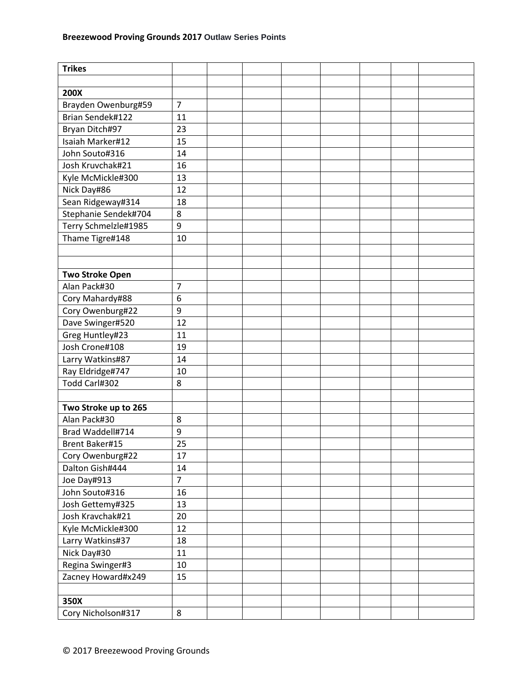| <b>Trikes</b>          |                |  |  |  |  |
|------------------------|----------------|--|--|--|--|
|                        |                |  |  |  |  |
| <b>200X</b>            |                |  |  |  |  |
| Brayden Owenburg#59    | $\overline{7}$ |  |  |  |  |
| Brian Sendek#122       | 11             |  |  |  |  |
| Bryan Ditch#97         | 23             |  |  |  |  |
| Isaiah Marker#12       | 15             |  |  |  |  |
| John Souto#316         | 14             |  |  |  |  |
| Josh Kruvchak#21       | 16             |  |  |  |  |
| Kyle McMickle#300      | 13             |  |  |  |  |
| Nick Day#86            | 12             |  |  |  |  |
| Sean Ridgeway#314      | 18             |  |  |  |  |
| Stephanie Sendek#704   | 8              |  |  |  |  |
| Terry Schmelzle#1985   | 9              |  |  |  |  |
| Thame Tigre#148        | 10             |  |  |  |  |
|                        |                |  |  |  |  |
|                        |                |  |  |  |  |
| <b>Two Stroke Open</b> |                |  |  |  |  |
| Alan Pack#30           | $\overline{7}$ |  |  |  |  |
| Cory Mahardy#88        | 6              |  |  |  |  |
| Cory Owenburg#22       | 9              |  |  |  |  |
| Dave Swinger#520       | 12             |  |  |  |  |
| Greg Huntley#23        | 11             |  |  |  |  |
| Josh Crone#108         | 19             |  |  |  |  |
| Larry Watkins#87       | 14             |  |  |  |  |
| Ray Eldridge#747       | 10             |  |  |  |  |
| Todd Carl#302          | 8              |  |  |  |  |
|                        |                |  |  |  |  |
| Two Stroke up to 265   |                |  |  |  |  |
| Alan Pack#30           | 8              |  |  |  |  |
| Brad Waddell#714       | 9              |  |  |  |  |
| <b>Brent Baker#15</b>  | 25             |  |  |  |  |
| Cory Owenburg#22       | 17             |  |  |  |  |
| Dalton Gish#444        | 14             |  |  |  |  |
| Joe Day#913            | $\overline{7}$ |  |  |  |  |
| John Souto#316         | 16             |  |  |  |  |
| Josh Gettemy#325       | 13             |  |  |  |  |
| Josh Kravchak#21       | 20             |  |  |  |  |
| Kyle McMickle#300      | 12             |  |  |  |  |
| Larry Watkins#37       | 18             |  |  |  |  |
| Nick Day#30            | 11             |  |  |  |  |
| Regina Swinger#3       | 10             |  |  |  |  |
| Zacney Howard#x249     | 15             |  |  |  |  |
|                        |                |  |  |  |  |
| 350X                   |                |  |  |  |  |
| Cory Nicholson#317     | 8              |  |  |  |  |